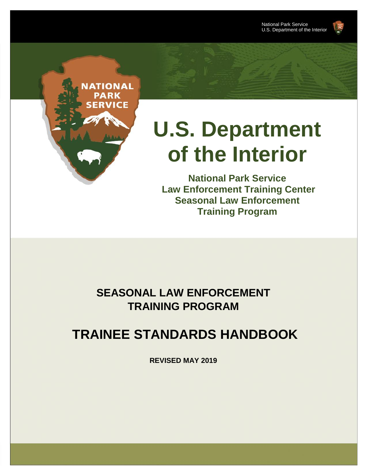National Park Service U.S. Department of the Interior



**National Park Service Law Enforcement Training Center Seasonal Law Enforcement Training Program** 

**SEASONAL LAW ENFORCEMENT TRAINING PROGRAM**

**NATIONAL PARK FRVICE** 

# **TRAINEE STANDARDS HANDBOOK**

**REVISED MAY 2019**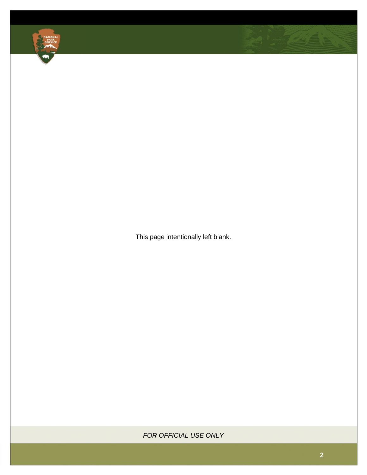This page intentionally left blank.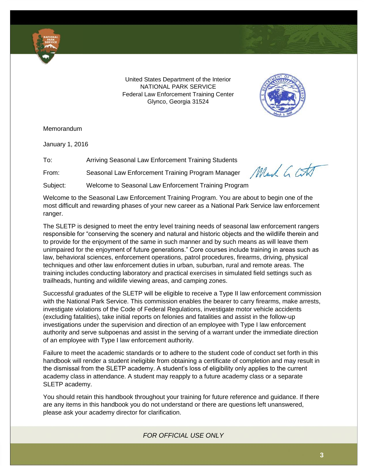United States Department of the Interior NATIONAL PARK SERVICE Federal Law Enforcement Training Center Glynco, Georgia 31524



**Memorandum** 

January 1, 2016

To: Arriving Seasonal Law Enforcement Training Students

From: Seasonal Law Enforcement Training Program Manager

Subject: Welcome to Seasonal Law Enforcement Training Program

Munch G Cott

Welcome to the Seasonal Law Enforcement Training Program. You are about to begin one of the most difficult and rewarding phases of your new career as a National Park Service law enforcement ranger.

The SLETP is designed to meet the entry level training needs of seasonal law enforcement rangers responsible for "conserving the scenery and natural and historic objects and the wildlife therein and to provide for the enjoyment of the same in such manner and by such means as will leave them unimpaired for the enjoyment of future generations." Core courses include training in areas such as law, behavioral sciences, enforcement operations, patrol procedures, firearms, driving, physical techniques and other law enforcement duties in urban, suburban, rural and remote areas. The training includes conducting laboratory and practical exercises in simulated field settings such as trailheads, hunting and wildlife viewing areas, and camping zones.

Successful graduates of the SLETP will be eligible to receive a Type II law enforcement commission with the National Park Service. This commission enables the bearer to carry firearms, make arrests, investigate violations of the Code of Federal Regulations, investigate motor vehicle accidents (excluding fatalities), take initial reports on felonies and fatalities and assist in the follow-up investigations under the supervision and direction of an employee with Type I law enforcement authority and serve subpoenas and assist in the serving of a warrant under the immediate direction of an employee with Type I law enforcement authority.

Failure to meet the academic standards or to adhere to the student code of conduct set forth in this handbook will render a student ineligible from obtaining a certificate of completion and may result in the dismissal from the SLETP academy. A student's loss of eligibility only applies to the current academy class in attendance. A student may reapply to a future academy class or a separate SLETP academy.

You should retain this handbook throughout your training for future reference and guidance. If there are any items in this handbook you do not understand or there are questions left unanswered, please ask your academy director for clarification.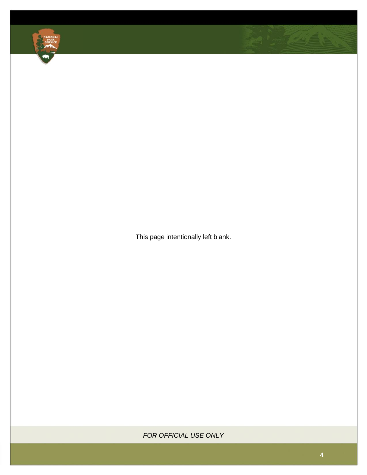This page intentionally left blank.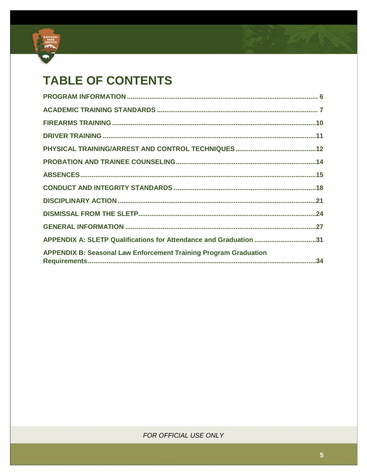



| APPENDIX A: SLETP Qualifications for Attendance and Graduation 31       |  |
|-------------------------------------------------------------------------|--|
| <b>APPENDIX B: Seasonal Law Enforcement Training Program Graduation</b> |  |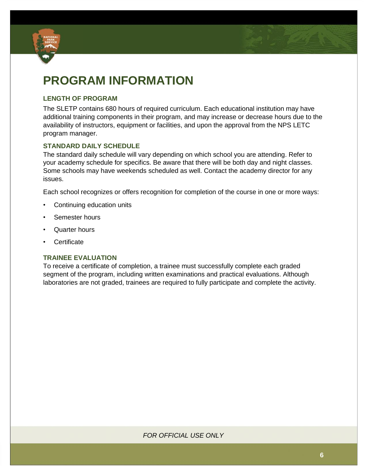

<span id="page-5-0"></span>

### **LENGTH OF PROGRAM**

The SLETP contains 680 hours of required curriculum. Each educational institution may have additional training components in their program, and may increase or decrease hours due to the availability of instructors, equipment or facilities, and upon the approval from the NPS LETC program manager.

### **STANDARD DAILY SCHEDULE**

The standard daily schedule will vary depending on which school you are attending. Refer to your academy schedule for specifics. Be aware that there will be both day and night classes. Some schools may have weekends scheduled as well. Contact the academy director for any issues.

Each school recognizes or offers recognition for completion of the course in one or more ways:

- Continuing education units
- Semester hours
- Quarter hours
- **Certificate**

### **TRAINEE EVALUATION**

To receive a certificate of completion, a trainee must successfully complete each graded segment of the program, including written examinations and practical evaluations. Although laboratories are not graded, trainees are required to fully participate and complete the activity.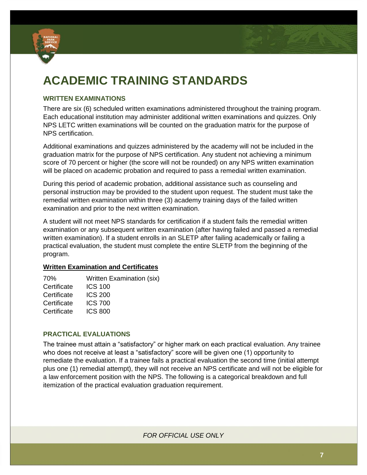

# <span id="page-6-0"></span>**ACADEMIC TRAINING STANDARDS**

# **WRITTEN EXAMINATIONS**

There are six (6) scheduled written examinations administered throughout the training program. Each educational institution may administer additional written examinations and quizzes. Only NPS LETC written examinations will be counted on the graduation matrix for the purpose of NPS certification.

Additional examinations and quizzes administered by the academy will not be included in the graduation matrix for the purpose of NPS certification. Any student not achieving a minimum score of 70 percent or higher (the score will not be rounded) on any NPS written examination will be placed on academic probation and required to pass a remedial written examination.

During this period of academic probation, additional assistance such as counseling and personal instruction may be provided to the student upon request. The student must take the remedial written examination within three (3) academy training days of the failed written examination and prior to the next written examination.

A student will not meet NPS standards for certification if a student fails the remedial written examination or any subsequent written examination (after having failed and passed a remedial written examination). If a student enrolls in an SLETP after failing academically or failing a practical evaluation, the student must complete the entire SLETP from the beginning of the program.

# **Written Examination and Certificates**

| 70%         | <b>Written Examination (six)</b> |
|-------------|----------------------------------|
| Certificate | <b>ICS 100</b>                   |
| Certificate | <b>ICS 200</b>                   |
| Certificate | <b>ICS 700</b>                   |
| Certificate | <b>ICS 800</b>                   |

# **PRACTICAL EVALUATIONS**

The trainee must attain a "satisfactory" or higher mark on each practical evaluation. Any trainee who does not receive at least a "satisfactory" score will be given one (1) opportunity to remediate the evaluation. If a trainee fails a practical evaluation the second time (initial attempt plus one (1) remedial attempt), they will not receive an NPS certificate and will not be eligible for a law enforcement position with the NPS. The following is a categorical breakdown and full itemization of the practical evaluation graduation requirement.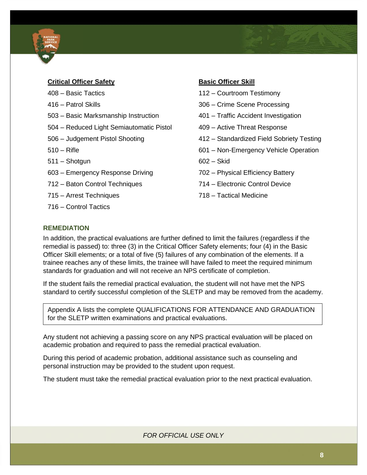

- 408 Basic Tactics
- 416 Patrol Skills
- 503 Basic Marksmanship Instruction
- 504 Reduced Light Semiautomatic Pistol
- 506 Judgement Pistol Shooting
- 510 Rifle
- 511 Shotgun
- 603 Emergency Response Driving
- 712 Baton Control Techniques
- 715 Arrest Techniques
- 716 Control Tactics

# **Basic Officer Skill**

- 112 Courtroom Testimony
- 306 Crime Scene Processing
- 401 Traffic Accident Investigation
- 409 Active Threat Response
- 412 Standardized Field Sobriety Testing
- 601 Non-Emergency Vehicle Operation
- 602 Skid
- 702 Physical Efficiency Battery
- 714 Electronic Control Device
- 718 Tactical Medicine

# **REMEDIATION**

In addition, the practical evaluations are further defined to limit the failures (regardless if the remedial is passed) to: three (3) in the Critical Officer Safety elements; four (4) in the Basic Officer Skill elements; or a total of five (5) failures of any combination of the elements. If a trainee reaches any of these limits, the trainee will have failed to meet the required minimum standards for graduation and will not receive an NPS certificate of completion.

If the student fails the remedial practical evaluation, the student will not have met the NPS standard to certify successful completion of the SLETP and may be removed from the academy.

Appendix A lists the complete QUALIFICATIONS FOR ATTENDANCE AND GRADUATION for the SLETP written examinations and practical evaluations.

Any student not achieving a passing score on any NPS practical evaluation will be placed on academic probation and required to pass the remedial practical evaluation.

During this period of academic probation, additional assistance such as counseling and personal instruction may be provided to the student upon request.

The student must take the remedial practical evaluation prior to the next practical evaluation.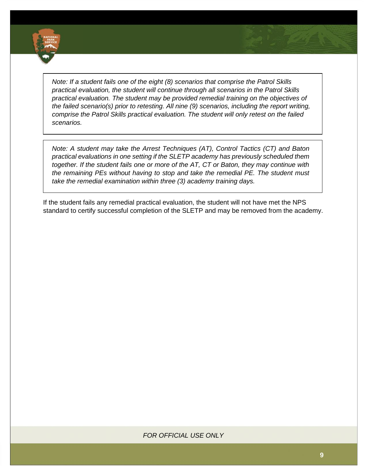

*Note: If a student fails one of the eight (8) scenarios that comprise the Patrol Skills practical evaluation, the student will continue through all scenarios in the Patrol Skills practical evaluation. The student may be provided remedial training on the objectives of the failed scenario(s) prior to retesting. All nine (9) scenarios, including the report writing, comprise the Patrol Skills practical evaluation. The student will only retest on the failed scenarios.*

*Note: A student may take the Arrest Techniques (AT), Control Tactics (CT) and Baton practical evaluations in one setting if the SLETP academy has previously scheduled them together. If the student fails one or more of the AT, CT or Baton, they may continue with the remaining PEs without having to stop and take the remedial PE. The student must take the remedial examination within three (3) academy training days.*

If the student fails any remedial practical evaluation, the student will not have met the NPS standard to certify successful completion of the SLETP and may be removed from the academy.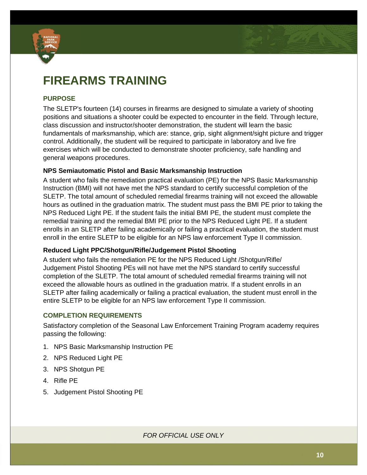



# <span id="page-9-0"></span>**FIREARMS TRAINING**

# **PURPOSE**

The SLETP's fourteen (14) courses in firearms are designed to simulate a variety of shooting positions and situations a shooter could be expected to encounter in the field. Through lecture, class discussion and instructor/shooter demonstration, the student will learn the basic fundamentals of marksmanship, which are: stance, grip, sight alignment/sight picture and trigger control. Additionally, the student will be required to participate in laboratory and live fire exercises which will be conducted to demonstrate shooter proficiency, safe handling and general weapons procedures.

# **NPS Semiautomatic Pistol and Basic Marksmanship Instruction**

A student who fails the remediation practical evaluation (PE) for the NPS Basic Marksmanship Instruction (BMI) will not have met the NPS standard to certify successful completion of the SLETP. The total amount of scheduled remedial firearms training will not exceed the allowable hours as outlined in the graduation matrix. The student must pass the BMI PE prior to taking the NPS Reduced Light PE. If the student fails the initial BMI PE, the student must complete the remedial training and the remedial BMI PE prior to the NPS Reduced Light PE. If a student enrolls in an SLETP after failing academically or failing a practical evaluation, the student must enroll in the entire SLETP to be eligible for an NPS law enforcement Type II commission.

# **Reduced Light PPC/Shotgun/Rifle/Judgement Pistol Shooting**

A student who fails the remediation PE for the NPS Reduced Light /Shotgun/Rifle/ Judgement Pistol Shooting PEs will not have met the NPS standard to certify successful completion of the SLETP. The total amount of scheduled remedial firearms training will not exceed the allowable hours as outlined in the graduation matrix. If a student enrolls in an SLETP after failing academically or failing a practical evaluation, the student must enroll in the entire SLETP to be eligible for an NPS law enforcement Type II commission.

# **COMPLETION REQUIREMENTS**

Satisfactory completion of the Seasonal Law Enforcement Training Program academy requires passing the following:

- 1. NPS Basic Marksmanship Instruction PE
- 2. NPS Reduced Light PE
- 3. NPS Shotgun PE
- 4. Rifle PE
- 5. Judgement Pistol Shooting PE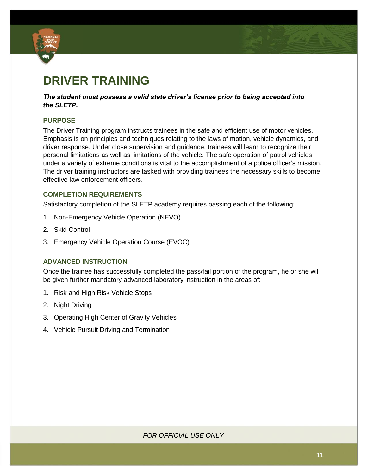# <span id="page-10-0"></span>**DRIVER TRAINING**

#### *The student must possess a valid state driver's license prior to being accepted into the SLETP.*

# **PURPOSE**

The Driver Training program instructs trainees in the safe and efficient use of motor vehicles. Emphasis is on principles and techniques relating to the laws of motion, vehicle dynamics, and driver response. Under close supervision and guidance, trainees will learn to recognize their personal limitations as well as limitations of the vehicle. The safe operation of patrol vehicles under a variety of extreme conditions is vital to the accomplishment of a police officer's mission. The driver training instructors are tasked with providing trainees the necessary skills to become effective law enforcement officers.

### **COMPLETION REQUIREMENTS**

Satisfactory completion of the SLETP academy requires passing each of the following:

- 1. Non-Emergency Vehicle Operation (NEVO)
- 2. Skid Control
- 3. Emergency Vehicle Operation Course (EVOC)

# **ADVANCED INSTRUCTION**

Once the trainee has successfully completed the pass/fail portion of the program, he or she will be given further mandatory advanced laboratory instruction in the areas of:

- 1. Risk and High Risk Vehicle Stops
- 2. Night Driving
- 3. Operating High Center of Gravity Vehicles
- 4. Vehicle Pursuit Driving and Termination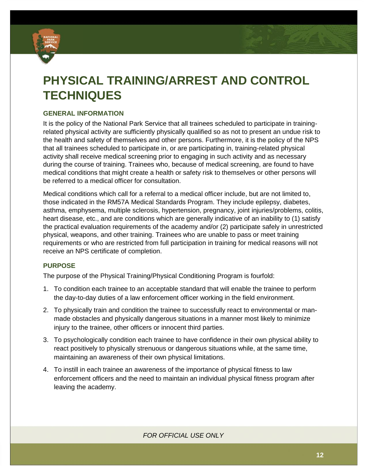

# <span id="page-11-0"></span>**PHYSICAL TRAINING/ARREST AND CONTROL TECHNIQUES**

# **GENERAL INFORMATION**

It is the policy of the National Park Service that all trainees scheduled to participate in trainingrelated physical activity are sufficiently physically qualified so as not to present an undue risk to the health and safety of themselves and other persons. Furthermore, it is the policy of the NPS that all trainees scheduled to participate in, or are participating in, training-related physical activity shall receive medical screening prior to engaging in such activity and as necessary during the course of training. Trainees who, because of medical screening, are found to have medical conditions that might create a health or safety risk to themselves or other persons will be referred to a medical officer for consultation.

Medical conditions which call for a referral to a medical officer include, but are not limited to, those indicated in the RM57A Medical Standards Program. They include epilepsy, diabetes, asthma, emphysema, multiple sclerosis, hypertension, pregnancy, joint injuries/problems, colitis, heart disease, etc., and are conditions which are generally indicative of an inability to (1) satisfy the practical evaluation requirements of the academy and/or (2) participate safely in unrestricted physical, weapons, and other training. Trainees who are unable to pass or meet training requirements or who are restricted from full participation in training for medical reasons will not receive an NPS certificate of completion.

# **PURPOSE**

The purpose of the Physical Training/Physical Conditioning Program is fourfold:

- 1. To condition each trainee to an acceptable standard that will enable the trainee to perform the day-to-day duties of a law enforcement officer working in the field environment.
- 2. To physically train and condition the trainee to successfully react to environmental or manmade obstacles and physically dangerous situations in a manner most likely to minimize injury to the trainee, other officers or innocent third parties.
- 3. To psychologically condition each trainee to have confidence in their own physical ability to react positively to physically strenuous or dangerous situations while, at the same time, maintaining an awareness of their own physical limitations.
- 4. To instill in each trainee an awareness of the importance of physical fitness to law enforcement officers and the need to maintain an individual physical fitness program after leaving the academy.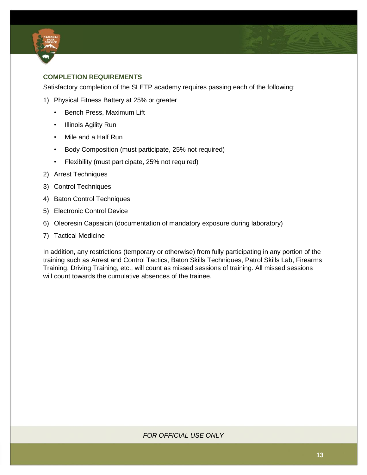

# **COMPLETION REQUIREMENTS**

Satisfactory completion of the SLETP academy requires passing each of the following:

- 1) Physical Fitness Battery at 25% or greater
	- Bench Press, Maximum Lift
	- Illinois Agility Run
	- Mile and a Half Run
	- Body Composition (must participate, 25% not required)
	- Flexibility (must participate, 25% not required)
- 2) Arrest Techniques
- 3) Control Techniques
- 4) Baton Control Techniques
- 5) Electronic Control Device
- 6) Oleoresin Capsaicin (documentation of mandatory exposure during laboratory)
- 7) Tactical Medicine

In addition, any restrictions (temporary or otherwise) from fully participating in any portion of the training such as Arrest and Control Tactics, Baton Skills Techniques, Patrol Skills Lab, Firearms Training, Driving Training, etc., will count as missed sessions of training. All missed sessions will count towards the cumulative absences of the trainee.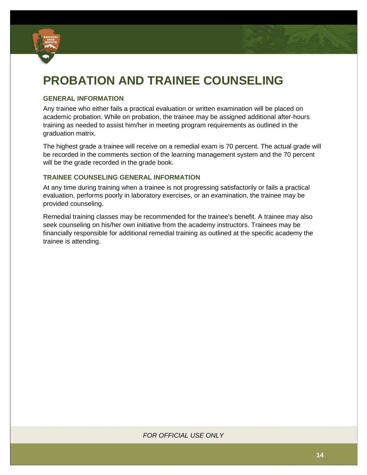

# <span id="page-13-0"></span>**PROBATION AND TRAINEE COUNSELING**

# **GENERAL INFORMATION**

Any trainee who either fails a practical evaluation or written examination will be placed on academic probation. While on probation, the trainee may be assigned additional after-hours training as needed to assist him/her in meeting program requirements as outlined in the graduation matrix.

The highest grade a trainee will receive on a remedial exam is 70 percent. The actual grade will be recorded in the comments section of the learning management system and the 70 percent will be the grade recorded in the grade book.

#### **TRAINEE COUNSELING GENERAL INFORMATION**

At any time during training when a trainee is not progressing satisfactorily or fails a practical evaluation, performs poorly in laboratory exercises, or an examination, the trainee may be provided counseling.

Remedial training classes may be recommended for the trainee's benefit. A trainee may also seek counseling on his/her own initiative from the academy instructors. Trainees may be financially responsible for additional remedial training as outlined at the specific academy the trainee is attending.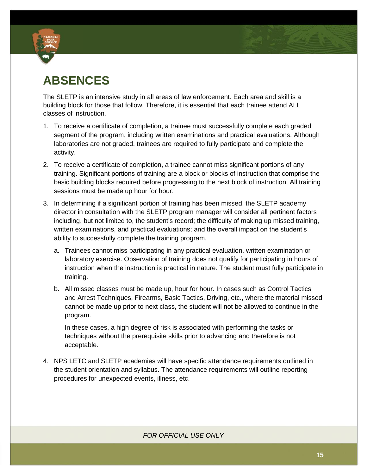# <span id="page-14-0"></span>**ABSENCES**

The SLETP is an intensive study in all areas of law enforcement. Each area and skill is a building block for those that follow. Therefore, it is essential that each trainee attend ALL classes of instruction.

- 1. To receive a certificate of completion, a trainee must successfully complete each graded segment of the program, including written examinations and practical evaluations. Although laboratories are not graded, trainees are required to fully participate and complete the activity.
- 2. To receive a certificate of completion, a trainee cannot miss significant portions of any training. Significant portions of training are a block or blocks of instruction that comprise the basic building blocks required before progressing to the next block of instruction. All training sessions must be made up hour for hour.
- 3. In determining if a significant portion of training has been missed, the SLETP academy director in consultation with the SLETP program manager will consider all pertinent factors including, but not limited to, the student's record; the difficulty of making up missed training, written examinations, and practical evaluations; and the overall impact on the student's ability to successfully complete the training program.
	- a. Trainees cannot miss participating in any practical evaluation, written examination or laboratory exercise. Observation of training does not qualify for participating in hours of instruction when the instruction is practical in nature. The student must fully participate in training.
	- b. All missed classes must be made up, hour for hour. In cases such as Control Tactics and Arrest Techniques, Firearms, Basic Tactics, Driving, etc., where the material missed cannot be made up prior to next class, the student will not be allowed to continue in the program.

In these cases, a high degree of risk is associated with performing the tasks or techniques without the prerequisite skills prior to advancing and therefore is not acceptable.

4. NPS LETC and SLETP academies will have specific attendance requirements outlined in the student orientation and syllabus. The attendance requirements will outline reporting procedures for unexpected events, illness, etc.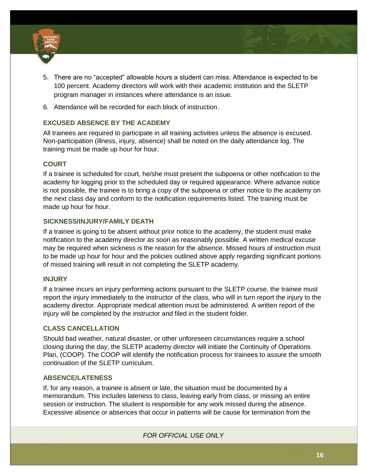

- 5. There are no "accepted" allowable hours a student can miss. Attendance is expected to be 100 percent. Academy directors will work with their academic institution and the SLETP program manager in instances where attendance is an issue.
- 6. Attendance will be recorded for each block of instruction.

# **EXCUSED ABSENCE BY THE ACADEMY**

All trainees are required to participate in all training activities unless the absence is excused. Non-participation (illness, injury, absence) shall be noted on the daily attendance log. The training must be made up hour for hour.

# **COURT**

If a trainee is scheduled for court, he/she must present the subpoena or other notification to the academy for logging prior to the scheduled day or required appearance. Where advance notice is not possible, the trainee is to bring a copy of the subpoena or other notice to the academy on the next class day and conform to the notification requirements listed. The training must be made up hour for hour.

# **SICKNESS/INJURY/FAMILY DEATH**

If a trainee is going to be absent without prior notice to the academy, the student must make notification to the academy director as soon as reasonably possible. A written medical excuse may be required when sickness is the reason for the absence. Missed hours of instruction must to be made up hour for hour and the policies outlined above apply regarding significant portions of missed training will result in not completing the SLETP academy.

# **INJURY**

If a trainee incurs an injury performing actions pursuant to the SLETP course, the trainee must report the injury immediately to the instructor of the class, who will in turn report the injury to the academy director. Appropriate medical attention must be administered. A written report of the injury will be completed by the instructor and filed in the student folder.

# **CLASS CANCELLATION**

Should bad weather, natural disaster, or other unforeseen circumstances require a school closing during the day, the SLETP academy director will initiate the Continuity of Operations Plan, (COOP). The COOP will identify the notification process for trainees to assure the smooth continuation of the SLETP curriculum.

# **ABSENCE/LATENESS**

If, for any reason, a trainee is absent or late, the situation must be documented by a memorandum. This includes lateness to class, leaving early from class, or missing an entire session or instruction. The student is responsible for any work missed during the absence. Excessive absence or absences that occur in patterns will be cause for termination from the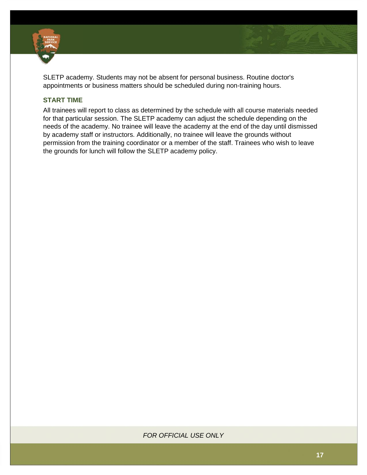

SLETP academy. Students may not be absent for personal business. Routine doctor's appointments or business matters should be scheduled during non-training hours.

# **START TIME**

All trainees will report to class as determined by the schedule with all course materials needed for that particular session. The SLETP academy can adjust the schedule depending on the needs of the academy. No trainee will leave the academy at the end of the day until dismissed by academy staff or instructors. Additionally, no trainee will leave the grounds without permission from the training coordinator or a member of the staff. Trainees who wish to leave the grounds for lunch will follow the SLETP academy policy.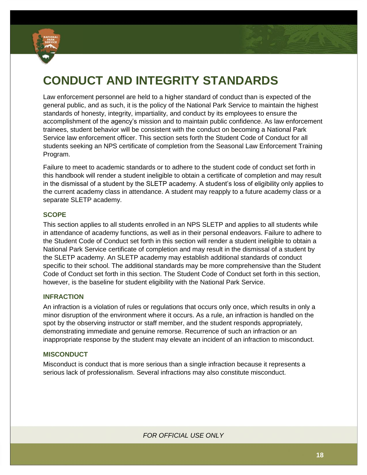

# <span id="page-17-0"></span>**CONDUCT AND INTEGRITY STANDARDS**

Law enforcement personnel are held to a higher standard of conduct than is expected of the general public, and as such, it is the policy of the National Park Service to maintain the highest standards of honesty, integrity, impartiality, and conduct by its employees to ensure the accomplishment of the agency's mission and to maintain public confidence. As law enforcement trainees, student behavior will be consistent with the conduct on becoming a National Park Service law enforcement officer. This section sets forth the Student Code of Conduct for all students seeking an NPS certificate of completion from the Seasonal Law Enforcement Training Program.

Failure to meet to academic standards or to adhere to the student code of conduct set forth in this handbook will render a student ineligible to obtain a certificate of completion and may result in the dismissal of a student by the SLETP academy. A student's loss of eligibility only applies to the current academy class in attendance. A student may reapply to a future academy class or a separate SLETP academy.

# **SCOPE**

This section applies to all students enrolled in an NPS SLETP and applies to all students while in attendance of academy functions, as well as in their personal endeavors. Failure to adhere to the Student Code of Conduct set forth in this section will render a student ineligible to obtain a National Park Service certificate of completion and may result in the dismissal of a student by the SLETP academy. An SLETP academy may establish additional standards of conduct specific to their school. The additional standards may be more comprehensive than the Student Code of Conduct set forth in this section. The Student Code of Conduct set forth in this section, however, is the baseline for student eligibility with the National Park Service.

# **INFRACTION**

An infraction is a violation of rules or regulations that occurs only once, which results in only a minor disruption of the environment where it occurs. As a rule, an infraction is handled on the spot by the observing instructor or staff member, and the student responds appropriately, demonstrating immediate and genuine remorse. Recurrence of such an infraction or an inappropriate response by the student may elevate an incident of an infraction to misconduct.

# **MISCONDUCT**

Misconduct is conduct that is more serious than a single infraction because it represents a serious lack of professionalism. Several infractions may also constitute misconduct.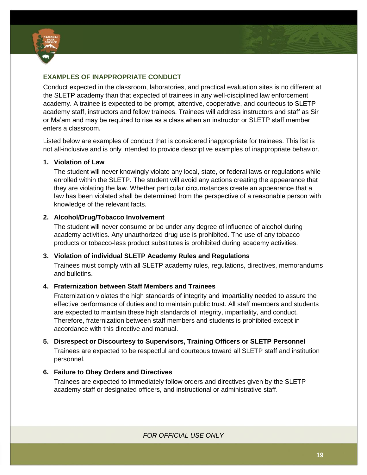



Conduct expected in the classroom, laboratories, and practical evaluation sites is no different at the SLETP academy than that expected of trainees in any well-disciplined law enforcement academy. A trainee is expected to be prompt, attentive, cooperative, and courteous to SLETP academy staff, instructors and fellow trainees. Trainees will address instructors and staff as Sir or Ma'am and may be required to rise as a class when an instructor or SLETP staff member enters a classroom.

Listed below are examples of conduct that is considered inappropriate for trainees. This list is not all-inclusive and is only intended to provide descriptive examples of inappropriate behavior.

#### **1. Violation of Law**

The student will never knowingly violate any local, state, or federal laws or regulations while enrolled within the SLETP. The student will avoid any actions creating the appearance that they are violating the law. Whether particular circumstances create an appearance that a law has been violated shall be determined from the perspective of a reasonable person with knowledge of the relevant facts.

#### **2. Alcohol/Drug/Tobacco Involvement**

The student will never consume or be under any degree of influence of alcohol during academy activities. Any unauthorized drug use is prohibited. The use of any tobacco products or tobacco-less product substitutes is prohibited during academy activities.

#### **3. Violation of individual SLETP Academy Rules and Regulations**

Trainees must comply with all SLETP academy rules, regulations, directives, memorandums and bulletins.

#### **4. Fraternization between Staff Members and Trainees**

Fraternization violates the high standards of integrity and impartiality needed to assure the effective performance of duties and to maintain public trust. All staff members and students are expected to maintain these high standards of integrity, impartiality, and conduct. Therefore, fraternization between staff members and students is prohibited except in accordance with this directive and manual.

# **5. Disrespect or Discourtesy to Supervisors, Training Officers or SLETP Personnel** Trainees are expected to be respectful and courteous toward all SLETP staff and institution personnel.

#### **6. Failure to Obey Orders and Directives**

Trainees are expected to immediately follow orders and directives given by the SLETP academy staff or designated officers, and instructional or administrative staff.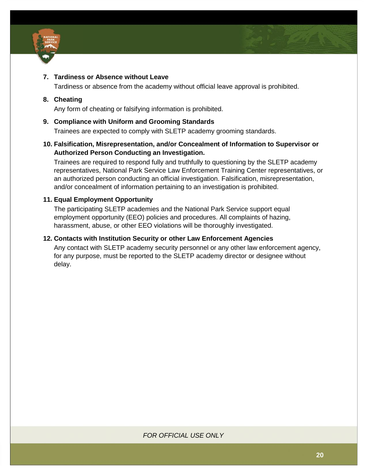

### **7. Tardiness or Absence without Leave**

Tardiness or absence from the academy without official leave approval is prohibited.

#### **8. Cheating**

Any form of cheating or falsifying information is prohibited.

#### **9. Compliance with Uniform and Grooming Standards**

Trainees are expected to comply with SLETP academy grooming standards.

# **10. Falsification, Misrepresentation, and/or Concealment of Information to Supervisor or Authorized Person Conducting an Investigation.**

Trainees are required to respond fully and truthfully to questioning by the SLETP academy representatives, National Park Service Law Enforcement Training Center representatives, or an authorized person conducting an official investigation. Falsification, misrepresentation, and/or concealment of information pertaining to an investigation is prohibited.

#### **11. Equal Employment Opportunity**

The participating SLETP academies and the National Park Service support equal employment opportunity (EEO) policies and procedures. All complaints of hazing, harassment, abuse, or other EEO violations will be thoroughly investigated.

#### **12. Contacts with Institution Security or other Law Enforcement Agencies**

Any contact with SLETP academy security personnel or any other law enforcement agency, for any purpose, must be reported to the SLETP academy director or designee without delay.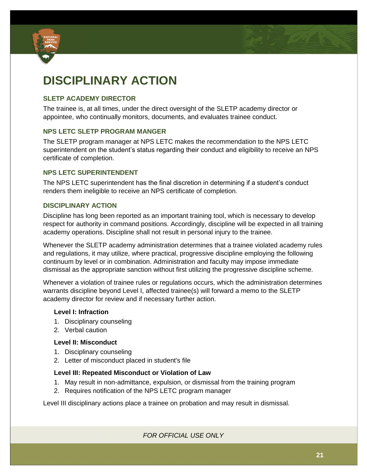



# <span id="page-20-0"></span>**DISCIPLINARY ACTION**

# **SLETP ACADEMY DIRECTOR**

The trainee is, at all times, under the direct oversight of the SLETP academy director or appointee, who continually monitors, documents, and evaluates trainee conduct.

# **NPS LETC SLETP PROGRAM MANGER**

The SLETP program manager at NPS LETC makes the recommendation to the NPS LETC superintendent on the student's status regarding their conduct and eligibility to receive an NPS certificate of completion.

### **NPS LETC SUPERINTENDENT**

The NPS LETC superintendent has the final discretion in determining if a student's conduct renders them ineligible to receive an NPS certificate of completion.

# **DISCIPLINARY ACTION**

Discipline has long been reported as an important training tool, which is necessary to develop respect for authority in command positions. Accordingly, discipline will be expected in all training academy operations. Discipline shall not result in personal injury to the trainee.

Whenever the SLETP academy administration determines that a trainee violated academy rules and regulations, it may utilize, where practical, progressive discipline employing the following continuum by level or in combination. Administration and faculty may impose immediate dismissal as the appropriate sanction without first utilizing the progressive discipline scheme.

Whenever a violation of trainee rules or regulations occurs, which the administration determines warrants discipline beyond Level I, affected trainee(s) will forward a memo to the SLETP academy director for review and if necessary further action.

#### **Level I: Infraction**

- 1. Disciplinary counseling
- 2. Verbal caution

#### **Level II: Misconduct**

- 1. Disciplinary counseling
- 2. Letter of misconduct placed in student's file

### **Level III: Repeated Misconduct or Violation of Law**

- 1. May result in non-admittance, expulsion, or dismissal from the training program
- 2. Requires notification of the NPS LETC program manager

Level III disciplinary actions place a trainee on probation and may result in dismissal.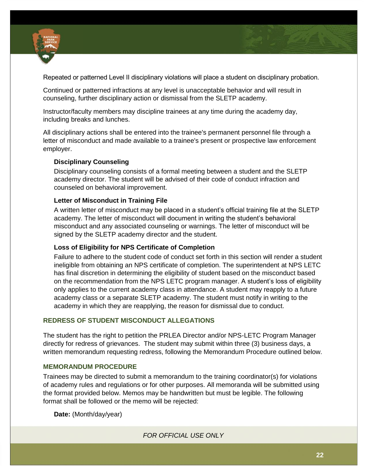

Repeated or patterned Level II disciplinary violations will place a student on disciplinary probation.

Continued or patterned infractions at any level is unacceptable behavior and will result in counseling, further disciplinary action or dismissal from the SLETP academy.

Instructor/faculty members may discipline trainees at any time during the academy day, including breaks and lunches.

All disciplinary actions shall be entered into the trainee's permanent personnel file through a letter of misconduct and made available to a trainee's present or prospective law enforcement employer.

# **Disciplinary Counseling**

Disciplinary counseling consists of a formal meeting between a student and the SLETP academy director. The student will be advised of their code of conduct infraction and counseled on behavioral improvement.

# **Letter of Misconduct in Training File**

A written letter of misconduct may be placed in a student's official training file at the SLETP academy. The letter of misconduct will document in writing the student's behavioral misconduct and any associated counseling or warnings. The letter of misconduct will be signed by the SLETP academy director and the student.

# **Loss of Eligibility for NPS Certificate of Completion**

Failure to adhere to the student code of conduct set forth in this section will render a student ineligible from obtaining an NPS certificate of completion. The superintendent at NPS LETC has final discretion in determining the eligibility of student based on the misconduct based on the recommendation from the NPS LETC program manager. A student's loss of eligibility only applies to the current academy class in attendance. A student may reapply to a future academy class or a separate SLETP academy. The student must notify in writing to the academy in which they are reapplying, the reason for dismissal due to conduct.

# **REDRESS OF STUDENT MISCONDUCT ALLEGATIONS**

The student has the right to petition the PRLEA Director and/or NPS-LETC Program Manager directly for redress of grievances. The student may submit within three (3) business days, a written memorandum requesting redress, following the Memorandum Procedure outlined below.

# **MEMORANDUM PROCEDURE**

Trainees may be directed to submit a memorandum to the training coordinator(s) for violations of academy rules and regulations or for other purposes. All memoranda will be submitted using the format provided below. Memos may be handwritten but must be legible. The following format shall be followed or the memo will be rejected:

**Date:** (Month/day/year)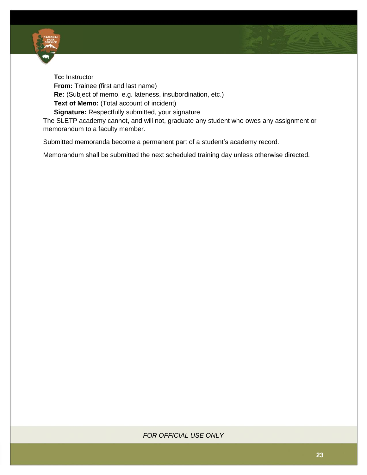



**To:** Instructor **From:** Trainee (first and last name) **Re:** (Subject of memo, e.g. lateness, insubordination, etc.) **Text of Memo:** (Total account of incident) **Signature:** Respectfully submitted, your signature

The SLETP academy cannot, and will not, graduate any student who owes any assignment or memorandum to a faculty member.

Submitted memoranda become a permanent part of a student's academy record.

Memorandum shall be submitted the next scheduled training day unless otherwise directed.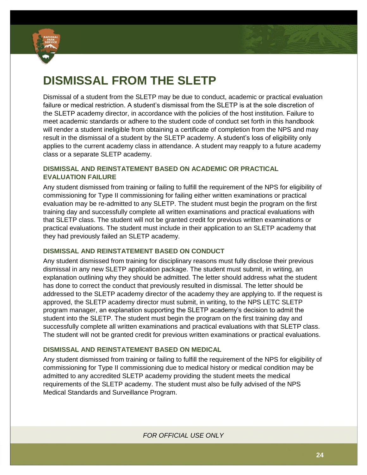

# <span id="page-23-0"></span>**DISMISSAL FROM THE SLETP**

Dismissal of a student from the SLETP may be due to conduct, academic or practical evaluation failure or medical restriction. A student's dismissal from the SLETP is at the sole discretion of the SLETP academy director, in accordance with the policies of the host institution. Failure to meet academic standards or adhere to the student code of conduct set forth in this handbook will render a student ineligible from obtaining a certificate of completion from the NPS and may result in the dismissal of a student by the SLETP academy. A student's loss of eligibility only applies to the current academy class in attendance. A student may reapply to a future academy class or a separate SLETP academy.

# **DISMISSAL AND REINSTATEMENT BASED ON ACADEMIC OR PRACTICAL EVALUATION FAILURE**

Any student dismissed from training or failing to fulfill the requirement of the NPS for eligibility of commissioning for Type II commissioning for failing either written examinations or practical evaluation may be re-admitted to any SLETP. The student must begin the program on the first training day and successfully complete all written examinations and practical evaluations with that SLETP class. The student will not be granted credit for previous written examinations or practical evaluations. The student must include in their application to an SLETP academy that they had previously failed an SLETP academy.

# **DISMISSAL AND REINSTATEMENT BASED ON CONDUCT**

Any student dismissed from training for disciplinary reasons must fully disclose their previous dismissal in any new SLETP application package. The student must submit, in writing, an explanation outlining why they should be admitted. The letter should address what the student has done to correct the conduct that previously resulted in dismissal. The letter should be addressed to the SLETP academy director of the academy they are applying to. If the request is approved, the SLETP academy director must submit, in writing, to the NPS LETC SLETP program manager, an explanation supporting the SLETP academy's decision to admit the student into the SLETP. The student must begin the program on the first training day and successfully complete all written examinations and practical evaluations with that SLETP class. The student will not be granted credit for previous written examinations or practical evaluations.

# **DISMISSAL AND REINSTATEMENT BASED ON MEDICAL**

Any student dismissed from training or failing to fulfill the requirement of the NPS for eligibility of commissioning for Type II commissioning due to medical history or medical condition may be admitted to any accredited SLETP academy providing the student meets the medical requirements of the SLETP academy. The student must also be fully advised of the NPS Medical Standards and Surveillance Program.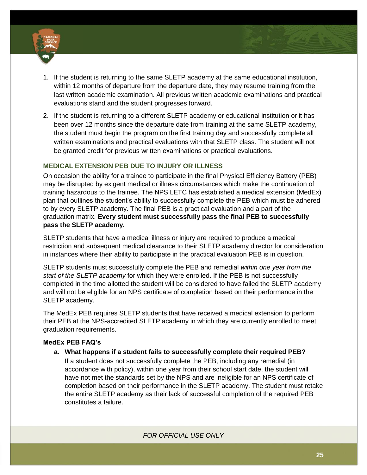

- 1. If the student is returning to the same SLETP academy at the same educational institution, within 12 months of departure from the departure date, they may resume training from the last written academic examination. All previous written academic examinations and practical evaluations stand and the student progresses forward.
- 2. If the student is returning to a different SLETP academy or educational institution or it has been over 12 months since the departure date from training at the same SLETP academy, the student must begin the program on the first training day and successfully complete all written examinations and practical evaluations with that SLETP class. The student will not be granted credit for previous written examinations or practical evaluations.

# **MEDICAL EXTENSION PEB DUE TO INJURY OR ILLNESS**

On occasion the ability for a trainee to participate in the final Physical Efficiency Battery (PEB) may be disrupted by exigent medical or illness circumstances which make the continuation of training hazardous to the trainee. The NPS LETC has established a medical extension (MedEx) plan that outlines the student's ability to successfully complete the PEB which must be adhered to by every SLETP academy. The final PEB is a practical evaluation and a part of the graduation matrix. **Every student must successfully pass the final PEB to successfully pass the SLETP academy.**

SLETP students that have a medical illness or injury are required to produce a medical restriction and subsequent medical clearance to their SLETP academy director for consideration in instances where their ability to participate in the practical evaluation PEB is in question.

SLETP students must successfully complete the PEB and remedial *within one year from the start of the SLETP academy* for which they were enrolled. If the PEB is not successfully completed in the time allotted the student will be considered to have failed the SLETP academy and will not be eligible for an NPS certificate of completion based on their performance in the SLETP academy.

The MedEx PEB requires SLETP students that have received a medical extension to perform their PEB at the NPS-accredited SLETP academy in which they are currently enrolled to meet graduation requirements.

# **MedEx PEB FAQ's**

#### **a. What happens if a student fails to successfully complete their required PEB?**

If a student does not successfully complete the PEB, including any remedial (in accordance with policy), within one year from their school start date, the student will have not met the standards set by the NPS and are ineligible for an NPS certificate of completion based on their performance in the SLETP academy. The student must retake the entire SLETP academy as their lack of successful completion of the required PEB constitutes a failure.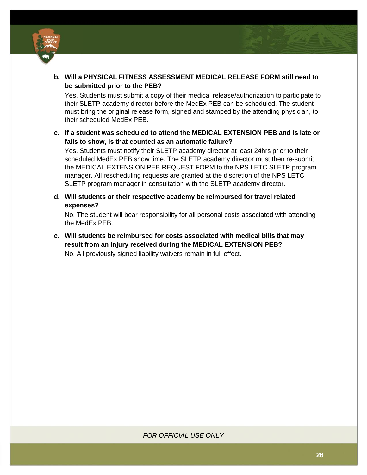

**b. Will a PHYSICAL FITNESS ASSESSMENT MEDICAL RELEASE FORM still need to be submitted prior to the PEB?**

Yes. Students must submit a copy of their medical release/authorization to participate to their SLETP academy director before the MedEx PEB can be scheduled. The student must bring the original release form, signed and stamped by the attending physician, to their scheduled MedEx PEB.

**c. If a student was scheduled to attend the MEDICAL EXTENSION PEB and is late or fails to show, is that counted as an automatic failure?**

Yes. Students must notify their SLETP academy director at least 24hrs prior to their scheduled MedEx PEB show time. The SLETP academy director must then re-submit the MEDICAL EXTENSION PEB REQUEST FORM to the NPS LETC SLETP program manager. All rescheduling requests are granted at the discretion of the NPS LETC SLETP program manager in consultation with the SLETP academy director.

**d. Will students or their respective academy be reimbursed for travel related expenses?**

No. The student will bear responsibility for all personal costs associated with attending the MedEx PEB.

**e. Will students be reimbursed for costs associated with medical bills that may result from an injury received during the MEDICAL EXTENSION PEB?** No. All previously signed liability waivers remain in full effect.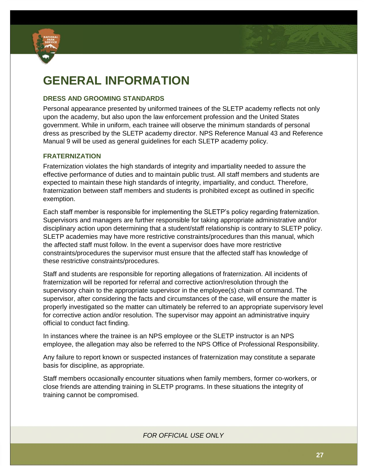

<span id="page-26-0"></span>

### **DRESS AND GROOMING STANDARDS**

Personal appearance presented by uniformed trainees of the SLETP academy reflects not only upon the academy, but also upon the law enforcement profession and the United States government. While in uniform, each trainee will observe the minimum standards of personal dress as prescribed by the SLETP academy director. NPS Reference Manual 43 and Reference Manual 9 will be used as general guidelines for each SLETP academy policy.

### **FRATERNIZATION**

Fraternization violates the high standards of integrity and impartiality needed to assure the effective performance of duties and to maintain public trust. All staff members and students are expected to maintain these high standards of integrity, impartiality, and conduct. Therefore, fraternization between staff members and students is prohibited except as outlined in specific exemption.

Each staff member is responsible for implementing the SLETP's policy regarding fraternization. Supervisors and managers are further responsible for taking appropriate administrative and/or disciplinary action upon determining that a student/staff relationship is contrary to SLETP policy. SLETP academies may have more restrictive constraints/procedures than this manual, which the affected staff must follow. In the event a supervisor does have more restrictive constraints/procedures the supervisor must ensure that the affected staff has knowledge of these restrictive constraints/procedures.

Staff and students are responsible for reporting allegations of fraternization. All incidents of fraternization will be reported for referral and corrective action/resolution through the supervisory chain to the appropriate supervisor in the employee(s) chain of command. The supervisor, after considering the facts and circumstances of the case, will ensure the matter is properly investigated so the matter can ultimately be referred to an appropriate supervisory level for corrective action and/or resolution. The supervisor may appoint an administrative inquiry official to conduct fact finding.

In instances where the trainee is an NPS employee or the SLETP instructor is an NPS employee, the allegation may also be referred to the NPS Office of Professional Responsibility.

Any failure to report known or suspected instances of fraternization may constitute a separate basis for discipline, as appropriate.

Staff members occasionally encounter situations when family members, former co-workers, or close friends are attending training in SLETP programs. In these situations the integrity of training cannot be compromised.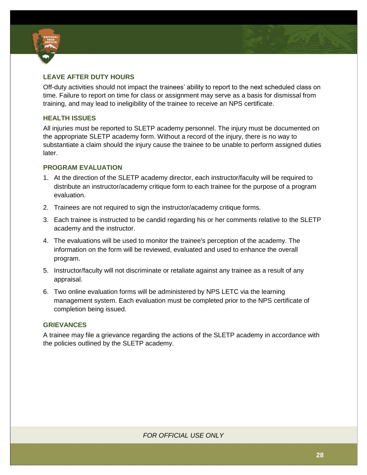

# **LEAVE AFTER DUTY HOURS**

Off-duty activities should not impact the trainees' ability to report to the next scheduled class on time. Failure to report on time for class or assignment may serve as a basis for dismissal from training, and may lead to ineligibility of the trainee to receive an NPS certificate.

### **HEALTH ISSUES**

All injuries must be reported to SLETP academy personnel. The injury must be documented on the appropriate SLETP academy form. Without a record of the injury, there is no way to substantiate a claim should the injury cause the trainee to be unable to perform assigned duties later.

### **PROGRAM EVALUATION**

- 1. At the direction of the SLETP academy director, each instructor/faculty will be required to distribute an instructor/academy critique form to each trainee for the purpose of a program evaluation.
- 2. Trainees are not required to sign the instructor/academy critique forms.
- 3. Each trainee is instructed to be candid regarding his or her comments relative to the SLETP academy and the instructor.
- 4. The evaluations will be used to monitor the trainee's perception of the academy. The information on the form will be reviewed, evaluated and used to enhance the overall program.
- 5. Instructor/faculty will not discriminate or retaliate against any trainee as a result of any appraisal.
- 6. Two online evaluation forms will be administered by NPS LETC via the learning management system. Each evaluation must be completed prior to the NPS certificate of completion being issued.

### **GRIEVANCES**

A trainee may file a grievance regarding the actions of the SLETP academy in accordance with the policies outlined by the SLETP academy.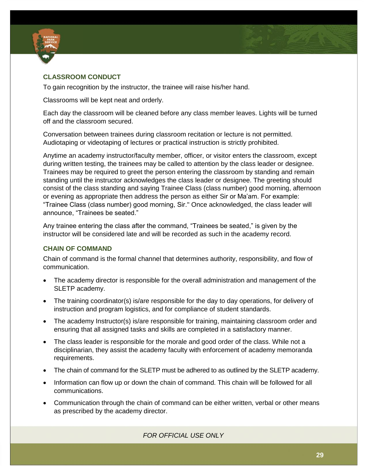



To gain recognition by the instructor, the trainee will raise his/her hand.

Classrooms will be kept neat and orderly.

Each day the classroom will be cleaned before any class member leaves. Lights will be turned off and the classroom secured.

Conversation between trainees during classroom recitation or lecture is not permitted. Audiotaping or videotaping of lectures or practical instruction is strictly prohibited.

Anytime an academy instructor/faculty member, officer, or visitor enters the classroom, except during written testing, the trainees may be called to attention by the class leader or designee. Trainees may be required to greet the person entering the classroom by standing and remain standing until the instructor acknowledges the class leader or designee. The greeting should consist of the class standing and saying Trainee Class (class number) good morning, afternoon or evening as appropriate then address the person as either Sir or Ma'am. For example: "Trainee Class (class number) good morning, Sir." Once acknowledged, the class leader will announce, "Trainees be seated."

Any trainee entering the class after the command, "Trainees be seated," is given by the instructor will be considered late and will be recorded as such in the academy record.

#### **CHAIN OF COMMAND**

Chain of command is the formal channel that determines authority, responsibility, and flow of communication.

- The academy director is responsible for the overall administration and management of the SLETP academy.
- The training coordinator(s) is/are responsible for the day to day operations, for delivery of instruction and program logistics, and for compliance of student standards.
- The academy Instructor(s) is/are responsible for training, maintaining classroom order and ensuring that all assigned tasks and skills are completed in a satisfactory manner.
- The class leader is responsible for the morale and good order of the class. While not a disciplinarian, they assist the academy faculty with enforcement of academy memoranda requirements.
- The chain of command for the SLETP must be adhered to as outlined by the SLETP academy.
- Information can flow up or down the chain of command. This chain will be followed for all communications.
- Communication through the chain of command can be either written, verbal or other means as prescribed by the academy director.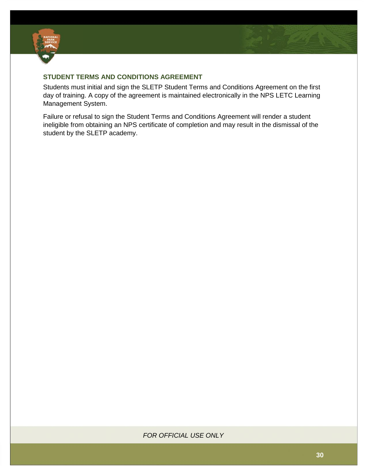



Students must initial and sign the SLETP Student Terms and Conditions Agreement on the first day of training. A copy of the agreement is maintained electronically in the NPS LETC Learning Management System.

Failure or refusal to sign the Student Terms and Conditions Agreement will render a student ineligible from obtaining an NPS certificate of completion and may result in the dismissal of the student by the SLETP academy.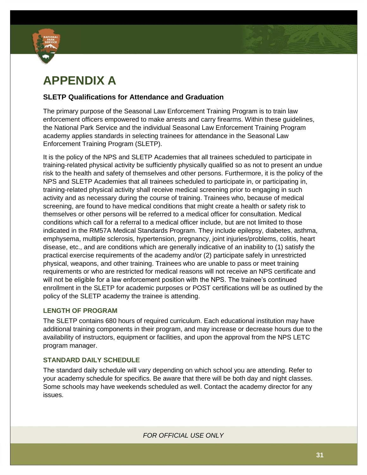



# <span id="page-30-0"></span>**APPENDIX A**

# **SLETP Qualifications for Attendance and Graduation**

The primary purpose of the Seasonal Law Enforcement Training Program is to train law enforcement officers empowered to make arrests and carry firearms. Within these guidelines, the National Park Service and the individual Seasonal Law Enforcement Training Program academy applies standards in selecting trainees for attendance in the Seasonal Law Enforcement Training Program (SLETP).

It is the policy of the NPS and SLETP Academies that all trainees scheduled to participate in training-related physical activity be sufficiently physically qualified so as not to present an undue risk to the health and safety of themselves and other persons. Furthermore, it is the policy of the NPS and SLETP Academies that all trainees scheduled to participate in, or participating in, training-related physical activity shall receive medical screening prior to engaging in such activity and as necessary during the course of training. Trainees who, because of medical screening, are found to have medical conditions that might create a health or safety risk to themselves or other persons will be referred to a medical officer for consultation. Medical conditions which call for a referral to a medical officer include, but are not limited to those indicated in the RM57A Medical Standards Program. They include epilepsy, diabetes, asthma, emphysema, multiple sclerosis, hypertension, pregnancy, joint injuries/problems, colitis, heart disease, etc., and are conditions which are generally indicative of an inability to (1) satisfy the practical exercise requirements of the academy and/or (2) participate safely in unrestricted physical, weapons, and other training. Trainees who are unable to pass or meet training requirements or who are restricted for medical reasons will not receive an NPS certificate and will not be eligible for a law enforcement position with the NPS. The trainee's continued enrollment in the SLETP for academic purposes or POST certifications will be as outlined by the policy of the SLETP academy the trainee is attending.

# **LENGTH OF PROGRAM**

The SLETP contains 680 hours of required curriculum. Each educational institution may have additional training components in their program, and may increase or decrease hours due to the availability of instructors, equipment or facilities, and upon the approval from the NPS LETC program manager.

# **STANDARD DAILY SCHEDULE**

The standard daily schedule will vary depending on which school you are attending. Refer to your academy schedule for specifics. Be aware that there will be both day and night classes. Some schools may have weekends scheduled as well. Contact the academy director for any issues.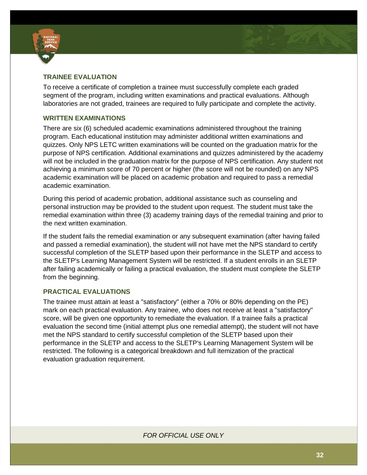



To receive a certificate of completion a trainee must successfully complete each graded segment of the program, including written examinations and practical evaluations. Although laboratories are not graded, trainees are required to fully participate and complete the activity.

### **WRITTEN EXAMINATIONS**

There are six (6) scheduled academic examinations administered throughout the training program. Each educational institution may administer additional written examinations and quizzes. Only NPS LETC written examinations will be counted on the graduation matrix for the purpose of NPS certification. Additional examinations and quizzes administered by the academy will not be included in the graduation matrix for the purpose of NPS certification. Any student not achieving a minimum score of 70 percent or higher (the score will not be rounded) on any NPS academic examination will be placed on academic probation and required to pass a remedial academic examination.

During this period of academic probation, additional assistance such as counseling and personal instruction may be provided to the student upon request. The student must take the remedial examination within three (3) academy training days of the remedial training and prior to the next written examination.

If the student fails the remedial examination or any subsequent examination (after having failed and passed a remedial examination), the student will not have met the NPS standard to certify successful completion of the SLETP based upon their performance in the SLETP and access to the SLETP's Learning Management System will be restricted. If a student enrolls in an SLETP after failing academically or failing a practical evaluation, the student must complete the SLETP from the beginning.

#### **PRACTICAL EVALUATIONS**

The trainee must attain at least a "satisfactory" (either a 70% or 80% depending on the PE) mark on each practical evaluation. Any trainee, who does not receive at least a "satisfactory" score, will be given one opportunity to remediate the evaluation. If a trainee fails a practical evaluation the second time (initial attempt plus one remedial attempt), the student will not have met the NPS standard to certify successful completion of the SLETP based upon their performance in the SLETP and access to the SLETP's Learning Management System will be restricted. The following is a categorical breakdown and full itemization of the practical evaluation graduation requirement.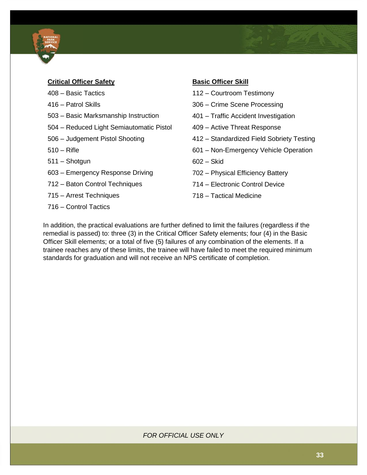



# **Critical Officer Safety**

- 408 Basic Tactics
- 416 Patrol Skills
- 503 Basic Marksmanship Instruction
- 504 Reduced Light Semiautomatic Pistol
- 506 Judgement Pistol Shooting
- 510 Rifle
- 511 Shotgun
- 603 Emergency Response Driving
- 712 Baton Control Techniques
- 715 Arrest Techniques
- 716 Control Tactics

# **Basic Officer Skill**

- 112 Courtroom Testimony
- 306 Crime Scene Processing
- 401 Traffic Accident Investigation
- 409 Active Threat Response
- 412 Standardized Field Sobriety Testing
- 601 Non-Emergency Vehicle Operation
- 602 Skid
- 702 Physical Efficiency Battery
- 714 Electronic Control Device
- 718 Tactical Medicine

In addition, the practical evaluations are further defined to limit the failures (regardless if the remedial is passed) to: three (3) in the Critical Officer Safety elements; four (4) in the Basic Officer Skill elements; or a total of five (5) failures of any combination of the elements. If a trainee reaches any of these limits, the trainee will have failed to meet the required minimum standards for graduation and will not receive an NPS certificate of completion.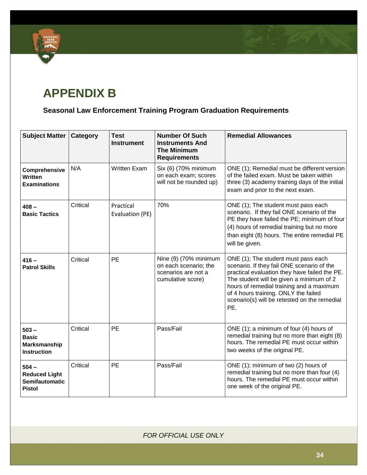# <span id="page-33-0"></span>**APPENDIX B**

# <span id="page-33-1"></span>**Seasonal Law Enforcement Training Program Graduation Requirements**

| <b>Subject Matter   Category</b>                                          |          | <b>Test</b><br><b>Instrument</b> | <b>Number Of Such</b><br><b>Instruments And</b><br><b>The Minimum</b><br><b>Requirements</b> | <b>Remedial Allowances</b>                                                                                                                                                                                                                                                                                                |
|---------------------------------------------------------------------------|----------|----------------------------------|----------------------------------------------------------------------------------------------|---------------------------------------------------------------------------------------------------------------------------------------------------------------------------------------------------------------------------------------------------------------------------------------------------------------------------|
| Comprehensive<br><b>Written</b><br><b>Examinations</b>                    | N/A      | <b>Written Exam</b>              | Six (6) (70% minimum<br>on each exam; scores<br>will not be rounded up)                      | ONE (1); Remedial must be different version<br>of the failed exam. Must be taken within<br>three (3) academy training days of the initial<br>exam and prior to the next exam.                                                                                                                                             |
| $408 -$<br><b>Basic Tactics</b>                                           | Critical | Practical<br>Evaluation (PE)     | 70%                                                                                          | ONE (1); The student must pass each<br>scenario. If they fail ONE scenario of the<br>PE they have failed the PE; minimum of four<br>(4) hours of remedial training but no more<br>than eight (8) hours. The entire remedial PE<br>will be given.                                                                          |
| $416 -$<br><b>Patrol Skills</b>                                           | Critical | PE                               | Nine (9) (70% minimum<br>on each scenario; the<br>scenarios are not a<br>cumulative score)   | ONE (1); The student must pass each<br>scenario. If they fail ONE scenario of the<br>practical evaluation they have failed the PE.<br>The student will be given a minimum of 2<br>hours of remedial training and a maximum<br>of 4 hours training. ONLY the failed<br>scenario(s) will be retested on the remedial<br>PE. |
| $503 -$<br><b>Basic</b><br><b>Marksmanship</b><br><b>Instruction</b>      | Critical | <b>PE</b>                        | Pass/Fail                                                                                    | ONE (1); a minimum of four (4) hours of<br>remedial training but no more than eight (8)<br>hours. The remedial PE must occur within<br>two weeks of the original PE.                                                                                                                                                      |
| $504 -$<br><b>Reduced Light</b><br><b>Semifautomatic</b><br><b>Pistol</b> | Critical | PE                               | Pass/Fail                                                                                    | ONE (1); minimum of two (2) hours of<br>remedial training but no more than four (4)<br>hours. The remedial PE must occur within<br>one week of the original PE.                                                                                                                                                           |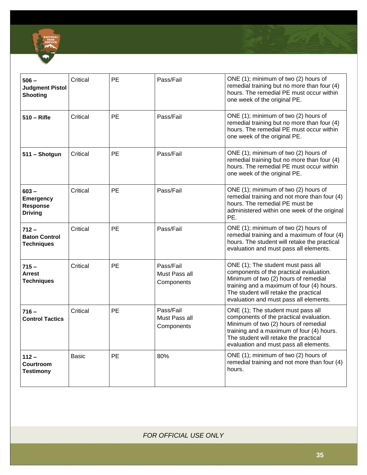

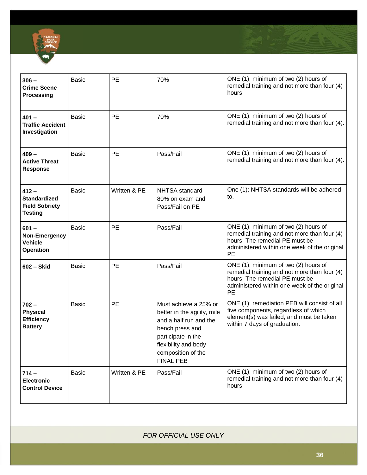

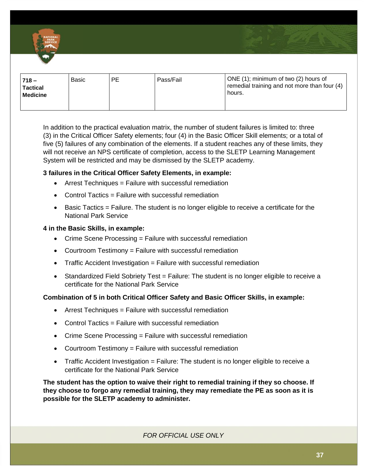

In addition to the practical evaluation matrix, the number of student failures is limited to: three (3) in the Critical Officer Safety elements; four (4) in the Basic Officer Skill elements; or a total of five (5) failures of any combination of the elements. If a student reaches any of these limits, they will not receive an NPS certificate of completion, access to the SLETP Learning Management System will be restricted and may be dismissed by the SLETP academy.

# **3 failures in the Critical Officer Safety Elements, in example:**

- $\bullet$  Arrest Techniques = Failure with successful remediation
- Control Tactics = Failure with successful remediation
- $\bullet$  Basic Tactics = Failure. The student is no longer eligible to receive a certificate for the National Park Service

# **4 in the Basic Skills, in example:**

- $\bullet$  Crime Scene Processing = Failure with successful remediation
- Courtroom Testimony = Failure with successful remediation
- Traffic Accident Investigation = Failure with successful remediation
- Standardized Field Sobriety Test = Failure: The student is no longer eligible to receive a certificate for the National Park Service

# **Combination of 5 in both Critical Officer Safety and Basic Officer Skills, in example:**

- Arrest Techniques = Failure with successful remediation
- Control Tactics = Failure with successful remediation
- $\bullet$  Crime Scene Processing = Failure with successful remediation
- $\bullet$  Courtroom Testimony = Failure with successful remediation
- Traffic Accident Investigation = Failure: The student is no longer eligible to receive a certificate for the National Park Service

**The student has the option to waive their right to remedial training if they so choose. If they choose to forgo any remedial training, they may remediate the PE as soon as it is possible for the SLETP academy to administer.**